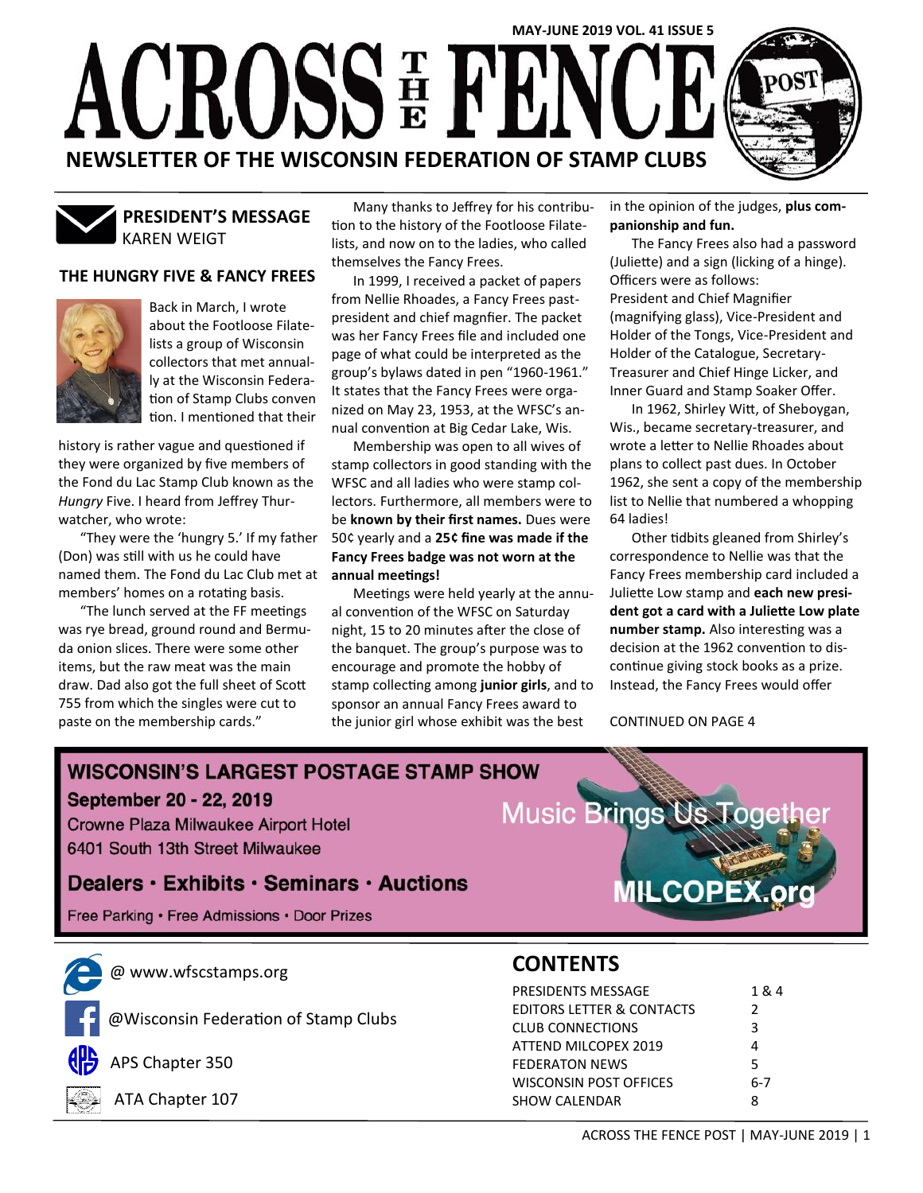

KAREN WEIGT **PRESIDENT'S MESSAGE**

#### **THE HUNGRY FIVE & FANCY FREES**



Back in March, I wrote about the Footloose Filatelists a group of Wisconsin collectors that met annually at the Wisconsin Federation of Stamp Clubs conven tion. I mentioned that their

history is rather vague and questioned if they were organized by five members of the Fond du Lac Stamp Club known as the *Hungry* Five. I heard from Jeffrey Thurwatcher, who wrote:

"They were the 'hungry 5.' If my father (Don) was still with us he could have named them. The Fond du Lac Club met at members' homes on a rotating basis.

"The lunch served at the FF meetings was rye bread, ground round and Bermuda onion slices. There were some other items, but the raw meat was the main draw. Dad also got the full sheet of Scott 755 from which the singles were cut to paste on the membership cards."

Many thanks to Jeffrey for his contribution to the history of the Footloose Filatelists, and now on to the ladies, who called themselves the Fancy Frees.

In 1999, I received a packet of papers from Nellie Rhoades, a Fancy Frees pastpresident and chief magnfier. The packet was her Fancy Frees file and included one page of what could be interpreted as the group's bylaws dated in pen "1960-1961." It states that the Fancy Frees were organized on May 23, 1953, at the WFSC's annual convention at Big Cedar Lake, Wis.

Membership was open to all wives of stamp collectors in good standing with the WFSC and all ladies who were stamp collectors. Furthermore, all members were to be **known by their first names.** Dues were 50¢ yearly and a **25¢ fine was made if the Fancy Frees badge was not worn at the annual meetings!**

Meetings were held yearly at the annual convention of the WFSC on Saturday night, 15 to 20 minutes after the close of the banquet. The group's purpose was to encourage and promote the hobby of stamp collecting among **junior girls**, and to sponsor an annual Fancy Frees award to the junior girl whose exhibit was the best

in the opinion of the judges, **plus companionship and fun.**

The Fancy Frees also had a password (Juliette) and a sign (licking of a hinge). Officers were as follows: President and Chief Magnifier (magnifying glass), Vice-President and Holder of the Tongs, Vice-President and Holder of the Catalogue, Secretary-Treasurer and Chief Hinge Licker, and Inner Guard and Stamp Soaker Offer.

In 1962, Shirley Witt, of Sheboygan, Wis., became secretary-treasurer, and wrote a letter to Nellie Rhoades about plans to collect past dues. In October 1962, she sent a copy of the membership list to Nellie that numbered a whopping 64 ladies!

Other tidbits gleaned from Shirley's correspondence to Nellie was that the Fancy Frees membership card included a Juliette Low stamp and **each new president got a card with a Juliette Low plate number stamp.** Also interesting was a decision at the 1962 convention to discontinue giving stock books as a prize. Instead, the Fancy Frees would offer

CONTINUED ON PAGE 4

## **WISCONSIN'S LARGEST POSTAGE STAMP SHOW** September 20 - 22, 2019 Music Brinas Us Too **Crowne Plaza Milwaukee Airport Hotel** 6401 South 13th Street Milwaukee Dealers · Exhibits · Seminars · Auctions **ILCOPEX.o** Free Parking · Free Admissions · Door Prizes



@ www.wfscstamps.org



@Wisconsin Federation of Stamp Clubs



APS Chapter 350



ATA Chapter 107

## **CONTENTS**

| <b>PRESIDENTS MESSAGE</b>            | 1 & 4 |
|--------------------------------------|-------|
| <b>EDITORS LETTER &amp; CONTACTS</b> | 2     |
| <b>CLUB CONNECTIONS</b>              | ર     |
| ATTEND MILCOPEX 2019                 |       |
| <b>FEDERATON NEWS</b>                | 5     |
| WISCONSIN POST OFFICES               | 6-7   |
| <b>SHOW CALENDAR</b>                 |       |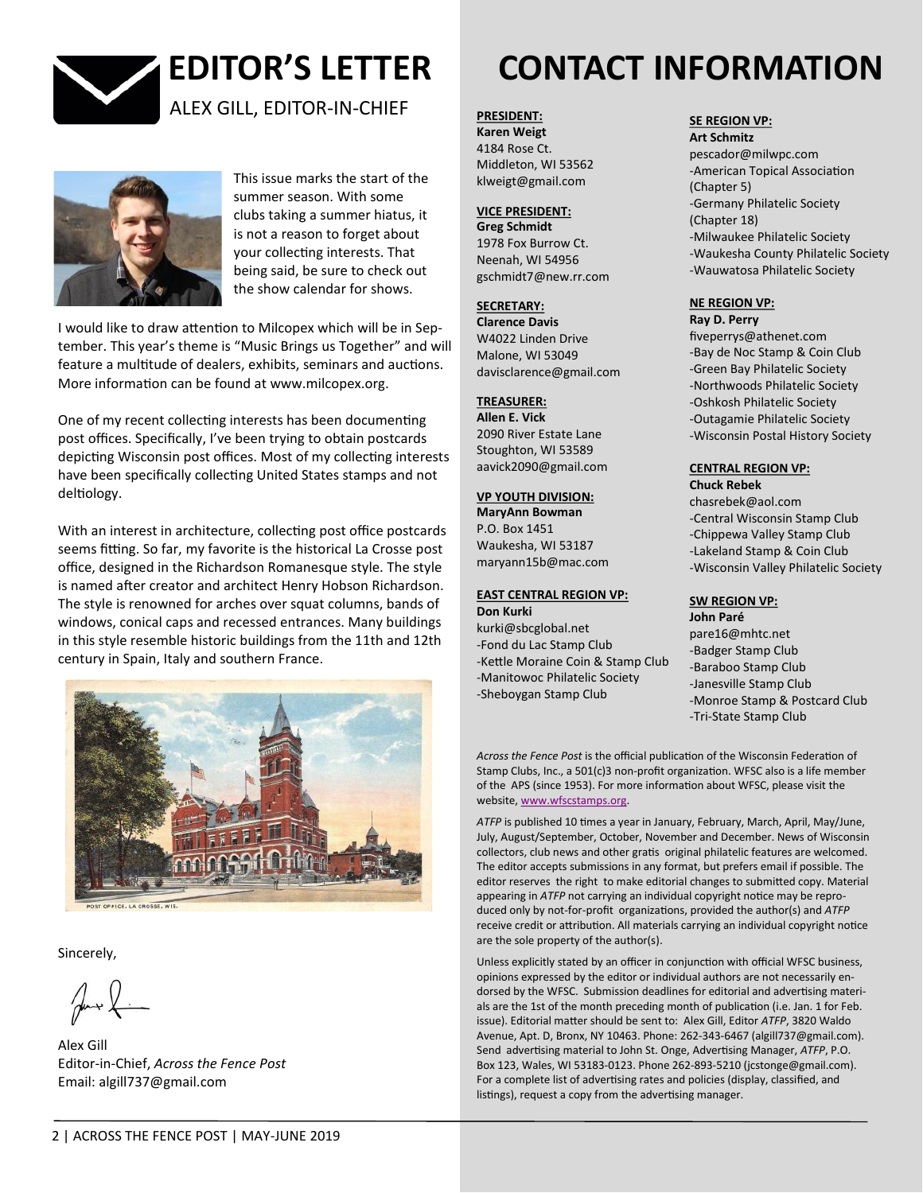



This issue marks the start of the summer season. With some clubs taking a summer hiatus, it is not a reason to forget about your collecting interests. That being said, be sure to check out the show calendar for shows.

I would like to draw attention to Milcopex which will be in September. This year's theme is "Music Brings us Together" and will feature a multitude of dealers, exhibits, seminars and auctions. More information can be found at www.milcopex.org.

One of my recent collecting interests has been documenting post offices. Specifically, I've been trying to obtain postcards depicting Wisconsin post offices. Most of my collecting interests have been specifically collecting United States stamps and not deltiology.

With an interest in architecture, collecting post office postcards seems fitting. So far, my favorite is the historical La Crosse post office, designed in the Richardson Romanesque style. The style is named after creator and architect Henry Hobson Richardson. The style is renowned for arches over squat columns, bands of windows, conical caps and recessed entrances. Many buildings in this style resemble historic buildings from the 11th and 12th century in Spain, Italy and southern France.



Sincerely,

Alex Gill Editor-in-Chief, *Across the Fence Post* Email: algill737@gmail.com

# **EDITOR'S LETTER CONTACT INFORMATION**

**PRESIDENT:**

**Karen Weigt**  4184 Rose Ct. Middleton, WI 53562 klweigt@gmail.com

#### **VICE PRESIDENT:**

**Greg Schmidt** 1978 Fox Burrow Ct. Neenah, WI 54956 gschmidt7@new.rr.com

#### **SECRETARY:**

**Clarence Davis** W4022 Linden Drive Malone, WI 53049 davisclarence@gmail.com

#### **TREASURER:**

**Allen E. Vick**  2090 River Estate Lane Stoughton, WI 53589 aavick2090@gmail.com

#### **VP YOUTH DIVISION:**

**MaryAnn Bowman**  P.O. Box 1451 Waukesha, WI 53187 maryann15b@mac.com

#### **EAST CENTRAL REGION VP: Don Kurki**

kurki@sbcglobal.net -Fond du Lac Stamp Club -Kettle Moraine Coin & Stamp Club -Manitowoc Philatelic Society -Sheboygan Stamp Club

#### **SE REGION VP:**

**Art Schmitz**  pescador@milwpc.com -American Topical Association (Chapter 5) -Germany Philatelic Society (Chapter 18) -Milwaukee Philatelic Society -Waukesha County Philatelic Society -Wauwatosa Philatelic Society

#### **NE REGION VP: Ray D. Perry**

fiveperrys@athenet.com -Bay de Noc Stamp & Coin Club -Green Bay Philatelic Society -Northwoods Philatelic Society -Oshkosh Philatelic Society -Outagamie Philatelic Society -Wisconsin Postal History Society

#### **CENTRAL REGION VP: Chuck Rebek**

chasrebek@aol.com -Central Wisconsin Stamp Club -Chippewa Valley Stamp Club -Lakeland Stamp & Coin Club -Wisconsin Valley Philatelic Society

### **SW REGION VP:**

**John Paré**  pare16@mhtc.net -Badger Stamp Club -Baraboo Stamp Club -Janesville Stamp Club -Monroe Stamp & Postcard Club -Tri-State Stamp Club

*Across the Fence Post* is the official publication of the Wisconsin Federation of Stamp Clubs, Inc., a 501(c)3 non-profit organization. WFSC also is a life member of the APS (since 1953). For more information about WFSC, please visit the website, [www.wfscstamps.org.](http://www.wfscstamps.org)

*ATFP* is published 10 times a year in January, February, March, April, May/June, July, August/September, October, November and December. News of Wisconsin collectors, club news and other gratis original philatelic features are welcomed. The editor accepts submissions in any format, but prefers email if possible. The editor reserves the right to make editorial changes to submitted copy. Material appearing in *ATFP* not carrying an individual copyright notice may be reproduced only by not-for-profit organizations, provided the author(s) and *ATFP*  receive credit or attribution. All materials carrying an individual copyright notice are the sole property of the author(s).

Unless explicitly stated by an officer in conjunction with official WFSC business, opinions expressed by the editor or individual authors are not necessarily endorsed by the WFSC. Submission deadlines for editorial and advertising materials are the 1st of the month preceding month of publication (i.e. Jan. 1 for Feb. issue). Editorial matter should be sent to: Alex Gill, Editor *ATFP*, 3820 Waldo Avenue, Apt. D, Bronx, NY 10463. Phone: 262-343-6467 (algill737@gmail.com). Send advertising material to John St. Onge, Advertising Manager, *ATFP*, P.O. Box 123, Wales, WI 53183-0123. Phone 262-893-5210 (jcstonge@gmail.com). For a complete list of advertising rates and policies (display, classified, and listings), request a copy from the advertising manager.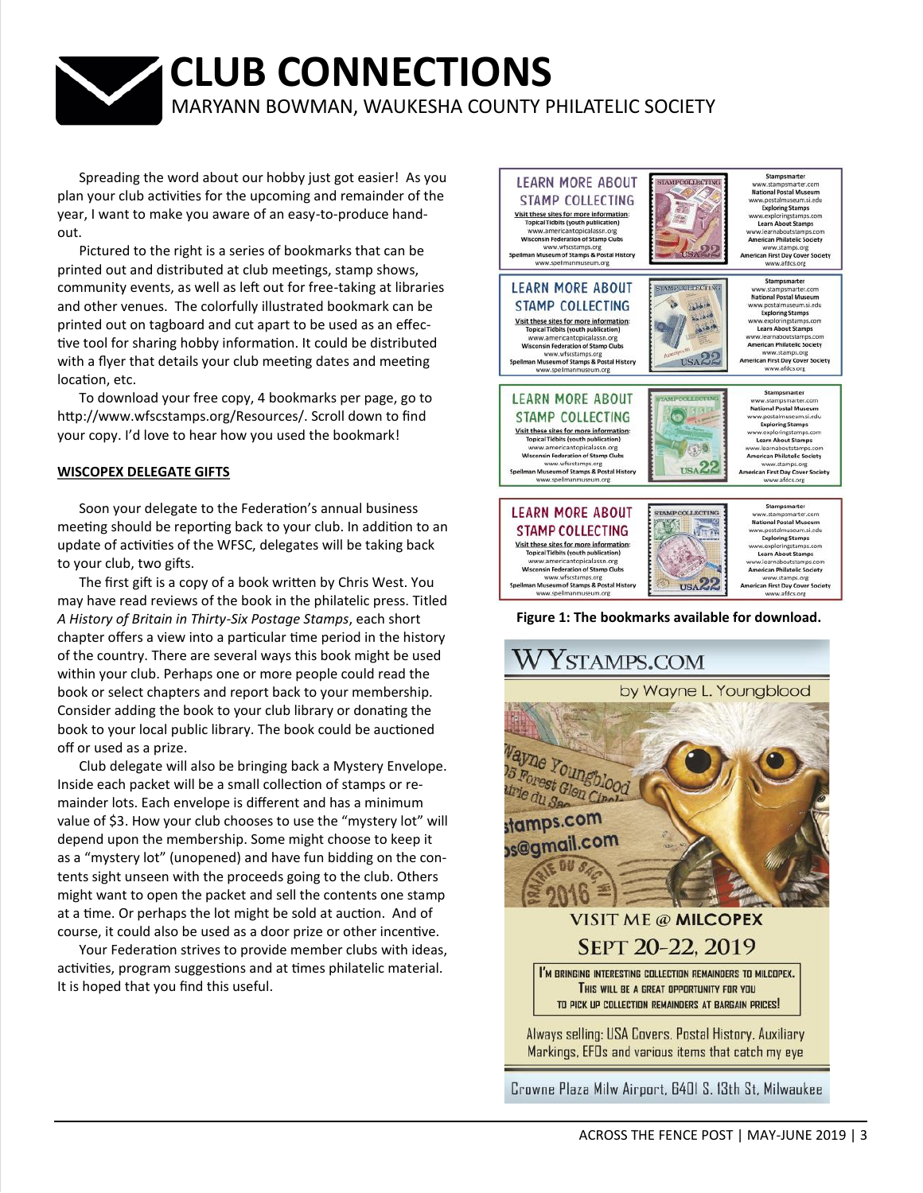## **CLUB CONNECTIONS** MARYANN BOWMAN, WAUKESHA COUNTY PHILATELIC SOCIETY

Spreading the word about our hobby just got easier! As you plan your club activities for the upcoming and remainder of the year, I want to make you aware of an easy-to-produce handout.

Pictured to the right is a series of bookmarks that can be printed out and distributed at club meetings, stamp shows, community events, as well as left out for free-taking at libraries and other venues. The colorfully illustrated bookmark can be printed out on tagboard and cut apart to be used as an effective tool for sharing hobby information. It could be distributed with a flyer that details your club meeting dates and meeting location, etc.

To download your free copy, 4 bookmarks per page, go to [http://www.wfscstamps.org/Resources/.](http://www.wfscstamps.org/Resources/) Scroll down to find your copy. I'd love to hear how you used the bookmark!

#### **WISCOPEX DELEGATE GIFTS**

Soon your delegate to the Federation's annual business meeting should be reporting back to your club. In addition to an update of activities of the WFSC, delegates will be taking back to your club, two gifts.

The first gift is a copy of a book written by Chris West. You may have read reviews of the book in the philatelic press. Titled *A History of Britain in Thirty-Six Postage Stamps*, each short chapter offers a view into a particular time period in the history of the country. There are several ways this book might be used within your club. Perhaps one or more people could read the book or select chapters and report back to your membership. Consider adding the book to your club library or donating the book to your local public library. The book could be auctioned off or used as a prize.

Club delegate will also be bringing back a Mystery Envelope. Inside each packet will be a small collection of stamps or remainder lots. Each envelope is different and has a minimum value of \$3. How your club chooses to use the "mystery lot" will depend upon the membership. Some might choose to keep it as a "mystery lot" (unopened) and have fun bidding on the contents sight unseen with the proceeds going to the club. Others might want to open the packet and sell the contents one stamp at a time. Or perhaps the lot might be sold at auction. And of course, it could also be used as a door prize or other incentive.

Your Federation strives to provide member clubs with ideas, activities, program suggestions and at times philatelic material. It is hoped that you find this useful.





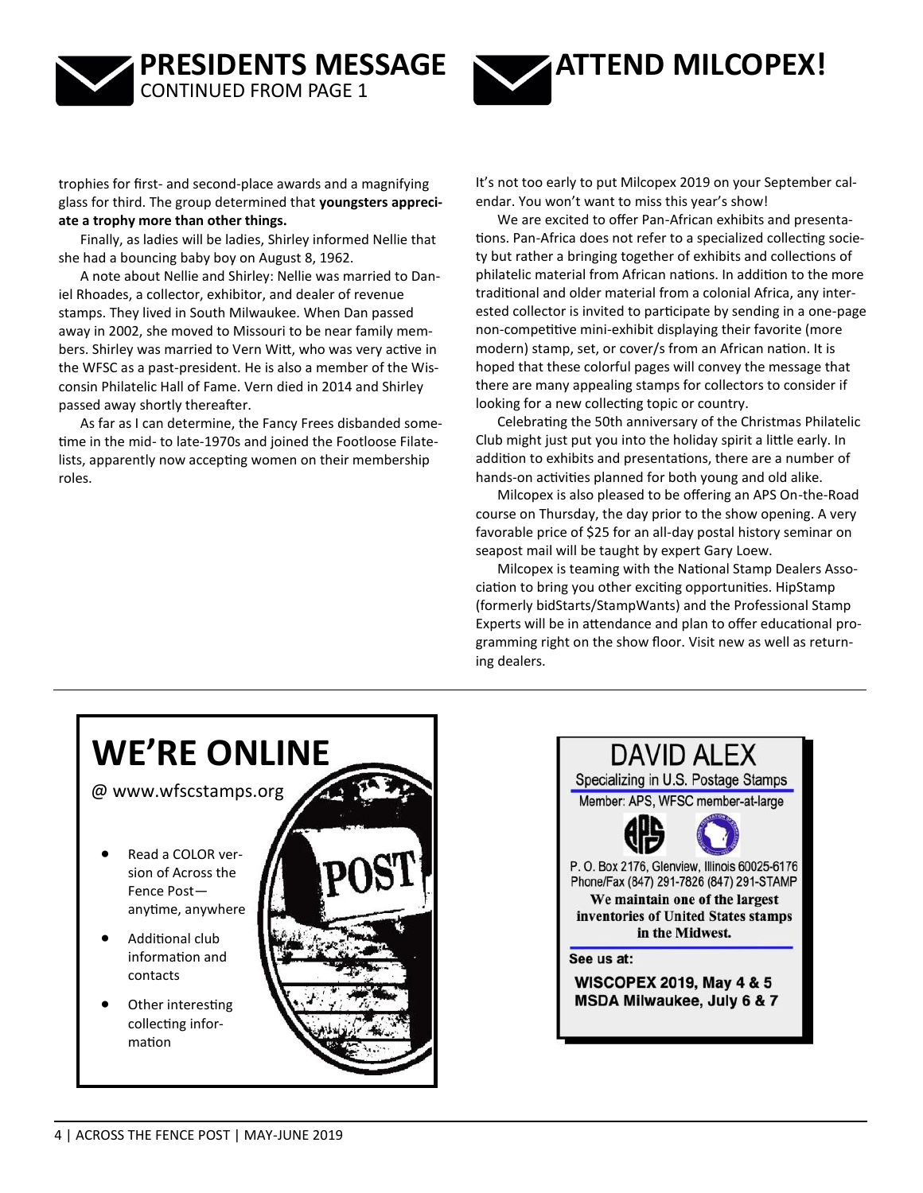



trophies for first- and second-place awards and a magnifying glass for third. The group determined that **youngsters appreciate a trophy more than other things.**

Finally, as ladies will be ladies, Shirley informed Nellie that she had a bouncing baby boy on August 8, 1962.

A note about Nellie and Shirley: Nellie was married to Daniel Rhoades, a collector, exhibitor, and dealer of revenue stamps. They lived in South Milwaukee. When Dan passed away in 2002, she moved to Missouri to be near family members. Shirley was married to Vern Witt, who was very active in the WFSC as a past-president. He is also a member of the Wisconsin Philatelic Hall of Fame. Vern died in 2014 and Shirley passed away shortly thereafter.

As far as I can determine, the Fancy Frees disbanded sometime in the mid- to late-1970s and joined the Footloose Filatelists, apparently now accepting women on their membership roles.

It's not too early to put Milcopex 2019 on your September calendar. You won't want to miss this year's show!

We are excited to offer Pan-African exhibits and presentations. Pan-Africa does not refer to a specialized collecting society but rather a bringing together of exhibits and collections of philatelic material from African nations. In addition to the more traditional and older material from a colonial Africa, any interested collector is invited to participate by sending in a one-page non-competitive mini-exhibit displaying their favorite (more modern) stamp, set, or cover/s from an African nation. It is hoped that these colorful pages will convey the message that there are many appealing stamps for collectors to consider if looking for a new collecting topic or country.

Celebrating the 50th anniversary of the Christmas Philatelic Club might just put you into the holiday spirit a little early. In addition to exhibits and presentations, there are a number of hands-on activities planned for both young and old alike.

Milcopex is also pleased to be offering an APS On-the-Road course on Thursday, the day prior to the show opening. A very favorable price of \$25 for an all-day postal history seminar on seapost mail will be taught by expert Gary Loew.

Milcopex is teaming with the National Stamp Dealers Association to bring you other exciting opportunities. HipStamp (formerly bidStarts/StampWants) and the Professional Stamp Experts will be in attendance and plan to offer educational programming right on the show floor. Visit new as well as returning dealers.



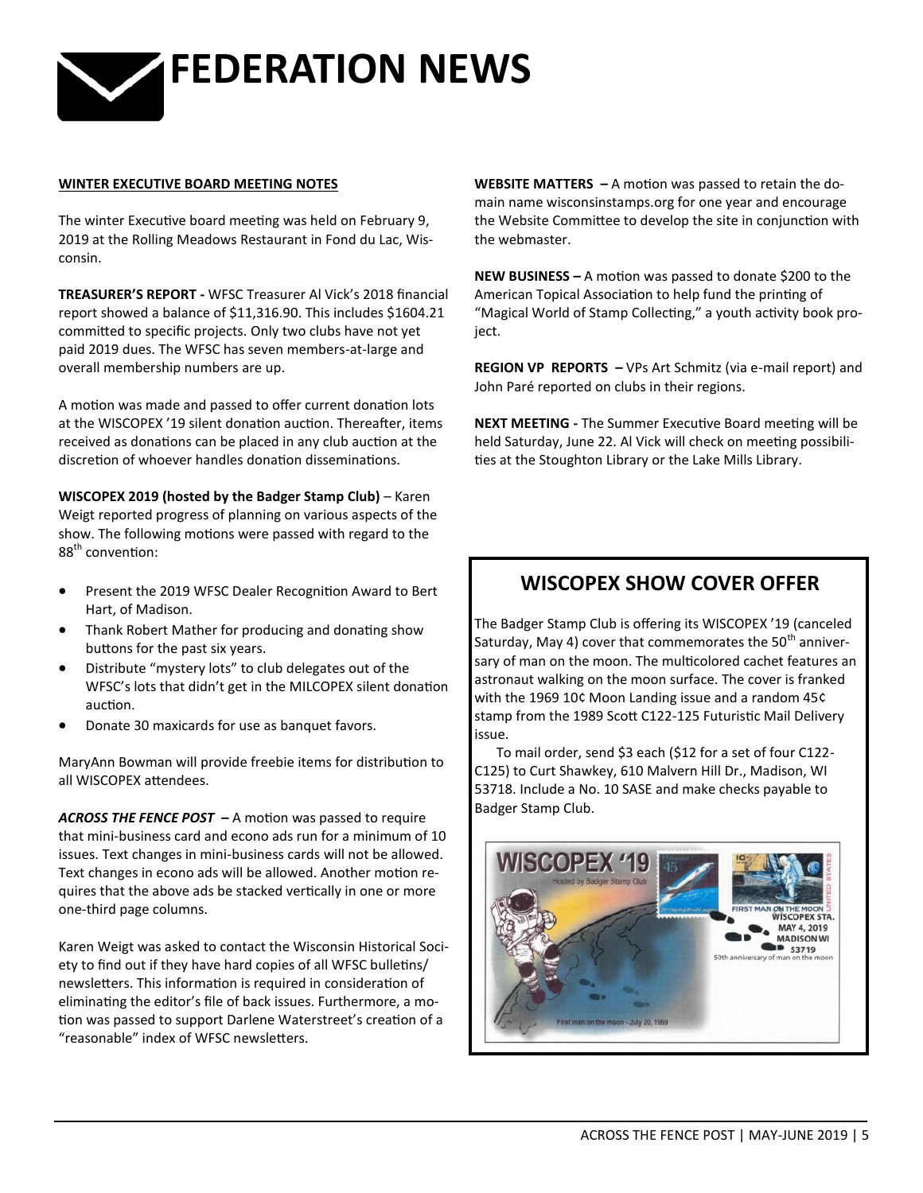

#### **WINTER EXECUTIVE BOARD MEETING NOTES**

The winter Executive board meeting was held on February 9, 2019 at the Rolling Meadows Restaurant in Fond du Lac, Wisconsin.

**TREASURER'S REPORT -** WFSC Treasurer Al Vick's 2018 financial report showed a balance of \$11,316.90. This includes \$1604.21 committed to specific projects. Only two clubs have not yet paid 2019 dues. The WFSC has seven members-at-large and overall membership numbers are up.

A motion was made and passed to offer current donation lots at the WISCOPEX '19 silent donation auction. Thereafter, items received as donations can be placed in any club auction at the discretion of whoever handles donation disseminations.

**WISCOPEX 2019 (hosted by the Badger Stamp Club)** – Karen Weigt reported progress of planning on various aspects of the show. The following motions were passed with regard to the 88<sup>th</sup> convention:

- Present the 2019 WFSC Dealer Recognition Award to Bert Hart, of Madison.
- Thank Robert Mather for producing and donating show buttons for the past six years.
- Distribute "mystery lots" to club delegates out of the WFSC's lots that didn't get in the MILCOPEX silent donation auction.
- Donate 30 maxicards for use as banquet favors.

MaryAnn Bowman will provide freebie items for distribution to all WISCOPEX attendees.

*ACROSS THE FENCE POST –* A motion was passed to require that mini-business card and econo ads run for a minimum of 10 issues. Text changes in mini-business cards will not be allowed. Text changes in econo ads will be allowed. Another motion requires that the above ads be stacked vertically in one or more one-third page columns.

Karen Weigt was asked to contact the Wisconsin Historical Society to find out if they have hard copies of all WFSC bulletins/ newsletters. This information is required in consideration of eliminating the editor's file of back issues. Furthermore, a motion was passed to support Darlene Waterstreet's creation of a "reasonable" index of WFSC newsletters.

**WEBSITE MATTERS –** A motion was passed to retain the domain name wisconsinstamps.org for one year and encourage the Website Committee to develop the site in conjunction with the webmaster.

**NEW BUSINESS –** A motion was passed to donate \$200 to the American Topical Association to help fund the printing of "Magical World of Stamp Collecting," a youth activity book project.

**REGION VP REPORTS –** VPs Art Schmitz (via e-mail report) and John Paré reported on clubs in their regions.

**NEXT MEETING -** The Summer Executive Board meeting will be held Saturday, June 22. Al Vick will check on meeting possibilities at the Stoughton Library or the Lake Mills Library.

## **WISCOPEX SHOW COVER OFFER**

The Badger Stamp Club is offering its WISCOPEX '19 (canceled Saturday, May 4) cover that commemorates the  $50<sup>th</sup>$  anniversary of man on the moon. The multicolored cachet features an astronaut walking on the moon surface. The cover is franked with the 1969 10¢ Moon Landing issue and a random 45¢ stamp from the 1989 Scott C122-125 Futuristic Mail Delivery issue.

To mail order, send \$3 each (\$12 for a set of four C122- C125) to Curt Shawkey, 610 Malvern Hill Dr., Madison, WI 53718. Include a No. 10 SASE and make checks payable to Badger Stamp Club.

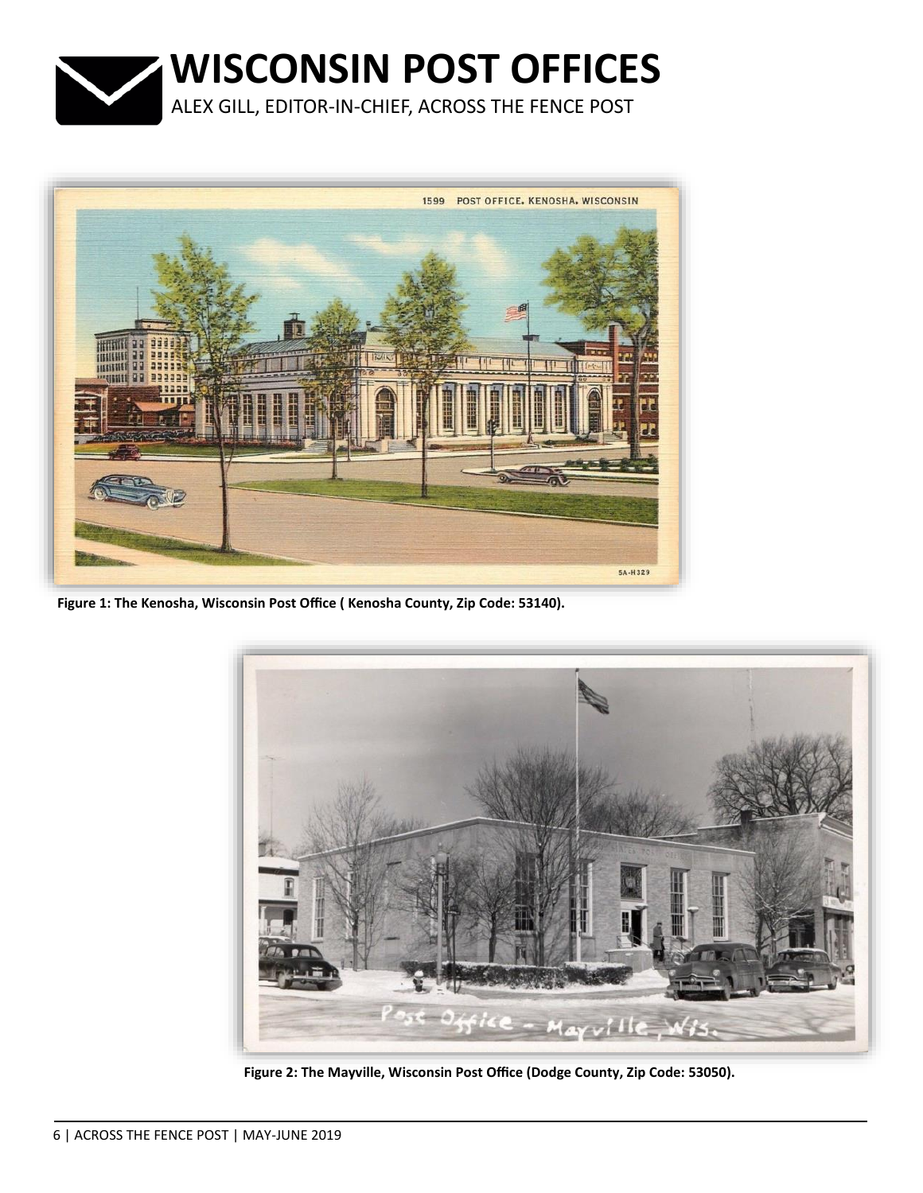



**Figure 1: The Kenosha, Wisconsin Post Office ( Kenosha County, Zip Code: 53140).**



**Figure 2: The Mayville, Wisconsin Post Office (Dodge County, Zip Code: 53050).**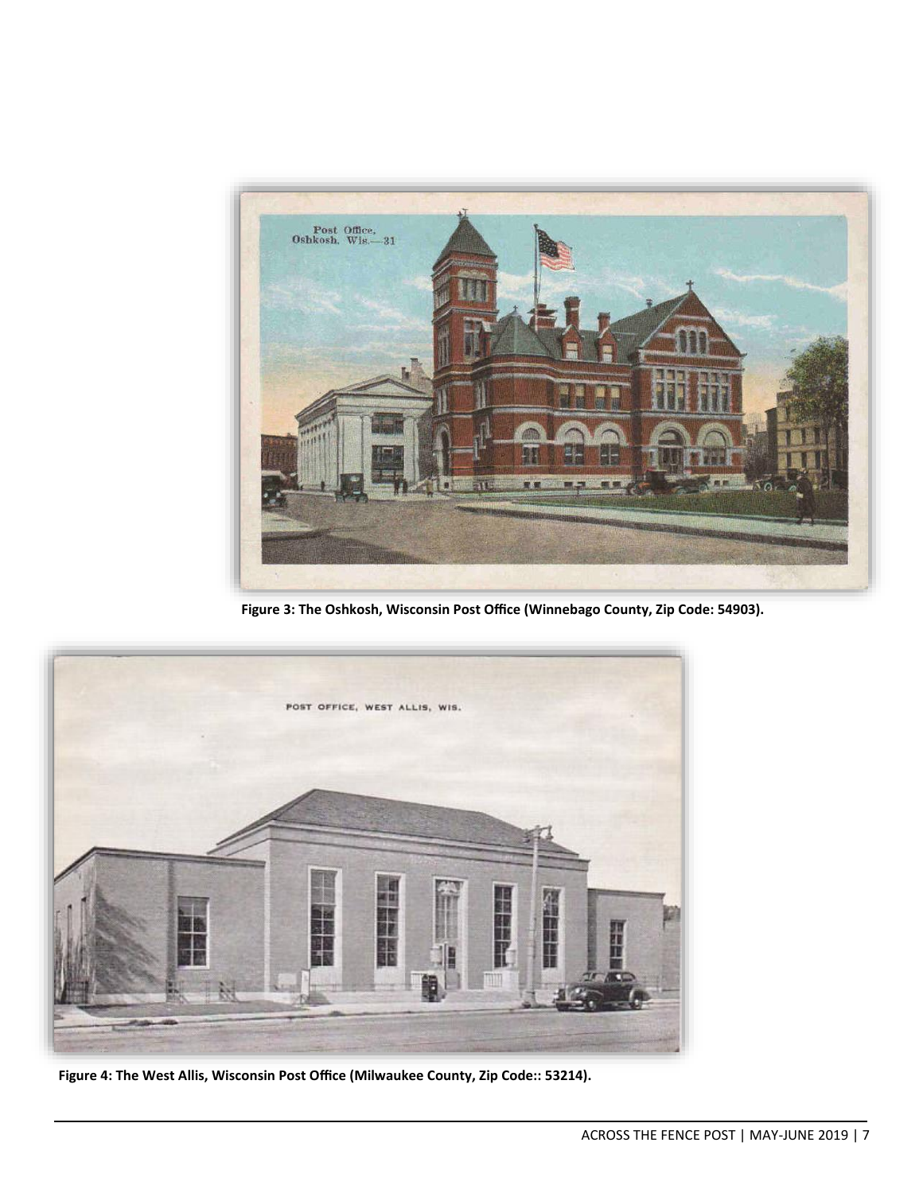

**Figure 3: The Oshkosh, Wisconsin Post Office (Winnebago County, Zip Code: 54903).**



**Figure 4: The West Allis, Wisconsin Post Office (Milwaukee County, Zip Code:: 53214).**